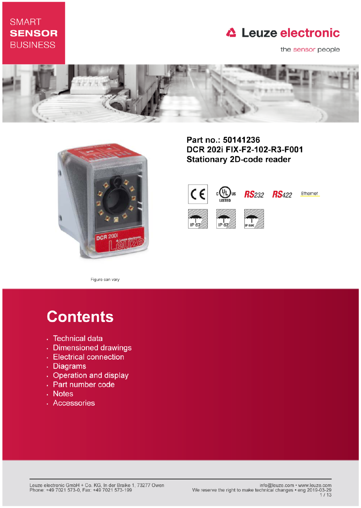## **SMART SENSOR BUSINESS**

## **△ Leuze electronic**

the sensor people





Part no.: 50141236 DCR 202i FIX-F2-102-R3-F001 **Stationary 2D-code reader** 



Figure can vary

# **Contents**

- · Technical data
- · Dimensioned drawings
- Electrical connection
- . Diagrams
- Operation and display
- Part number code
- Notes
- · Accessories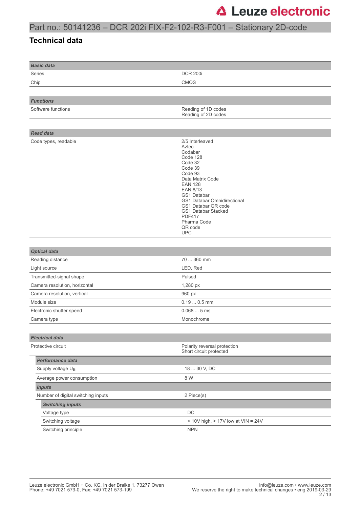### Part no.: 50141236 – DCR 202i FIX-F2-102-R3-F001 – Stationary 2D-code

#### **Technical data**

| <b>Basic data</b>                  |                                                                                                                                                                                                                                                                                                       |
|------------------------------------|-------------------------------------------------------------------------------------------------------------------------------------------------------------------------------------------------------------------------------------------------------------------------------------------------------|
| Series                             | <b>DCR 200i</b>                                                                                                                                                                                                                                                                                       |
| Chip                               | CMOS                                                                                                                                                                                                                                                                                                  |
|                                    |                                                                                                                                                                                                                                                                                                       |
| <b>Functions</b>                   |                                                                                                                                                                                                                                                                                                       |
| Software functions                 | Reading of 1D codes<br>Reading of 2D codes                                                                                                                                                                                                                                                            |
|                                    |                                                                                                                                                                                                                                                                                                       |
| <b>Read data</b>                   |                                                                                                                                                                                                                                                                                                       |
| Code types, readable               | 2/5 Interleaved<br>Aztec<br>Codabar<br>Code 128<br>Code 32<br>Code 39<br>Code 93<br>Data Matrix Code<br><b>EAN 128</b><br><b>EAN 8/13</b><br><b>GS1 Databar</b><br>GS1 Databar Omnidirectional<br>GS1 Databar QR code<br>GS1 Databar Stacked<br><b>PDF417</b><br>Pharma Code<br>QR code<br><b>UPC</b> |
|                                    |                                                                                                                                                                                                                                                                                                       |
| <b>Optical data</b>                |                                                                                                                                                                                                                                                                                                       |
| Reading distance                   | 70  360 mm                                                                                                                                                                                                                                                                                            |
| Light source                       | LED, Red                                                                                                                                                                                                                                                                                              |
| Transmitted-signal shape           | Pulsed                                                                                                                                                                                                                                                                                                |
| Camera resolution, horizontal      | 1,280 px                                                                                                                                                                                                                                                                                              |
| Camera resolution, vertical        | 960 px                                                                                                                                                                                                                                                                                                |
| Module size                        | $0.190.5$ mm                                                                                                                                                                                                                                                                                          |
| Electronic shutter speed           | 0.0685ms                                                                                                                                                                                                                                                                                              |
| Camera type                        | Monochrome                                                                                                                                                                                                                                                                                            |
|                                    |                                                                                                                                                                                                                                                                                                       |
| <b>Electrical data</b>             |                                                                                                                                                                                                                                                                                                       |
| Protective circuit                 | Polarity reversal protection<br>Short circuit protected                                                                                                                                                                                                                                               |
| Performance data                   |                                                                                                                                                                                                                                                                                                       |
| Supply voltage U <sub>B</sub>      | 18  30 V, DC                                                                                                                                                                                                                                                                                          |
| Average power consumption          | 8 W                                                                                                                                                                                                                                                                                                   |
| <b>Inputs</b>                      |                                                                                                                                                                                                                                                                                                       |
| Number of digital switching inputs | 2 Piece(s)                                                                                                                                                                                                                                                                                            |
| <b>Switching inputs</b>            |                                                                                                                                                                                                                                                                                                       |
| Voltage type                       | $\mathsf{DC}$                                                                                                                                                                                                                                                                                         |
| Switching voltage                  | < 10V high, $> 17V$ low at $VIN = 24V$                                                                                                                                                                                                                                                                |
| Switching principle                | <b>NPN</b>                                                                                                                                                                                                                                                                                            |
|                                    |                                                                                                                                                                                                                                                                                                       |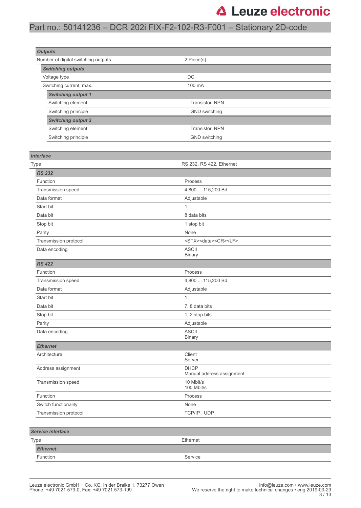### Part no.: 50141236 – DCR 202i FIX-F2-102-R3-F001 – Stationary 2D-code

| <b>Outputs</b>                      |                                            |  |
|-------------------------------------|--------------------------------------------|--|
| Number of digital switching outputs | 2 Piece(s)                                 |  |
| <b>Switching outputs</b>            |                                            |  |
| Voltage type                        | DC                                         |  |
| Switching current, max.             | 100 mA                                     |  |
| <b>Switching output 1</b>           |                                            |  |
| Switching element                   | Transistor, NPN                            |  |
| Switching principle                 | GND switching                              |  |
| <b>Switching output 2</b>           |                                            |  |
| Switching element                   | Transistor, NPN                            |  |
| Switching principle                 | GND switching                              |  |
|                                     |                                            |  |
| <b>Interface</b>                    |                                            |  |
| Type                                | RS 232, RS 422, Ethernet                   |  |
| <b>RS 232</b>                       |                                            |  |
| Function                            | Process                                    |  |
| Transmission speed                  | 4,800  115,200 Bd                          |  |
| Data format                         | Adjustable                                 |  |
| Start bit                           | 1                                          |  |
| Data bit                            | 8 data bits                                |  |
| Stop bit                            | 1 stop bit                                 |  |
| Parity                              | None                                       |  |
| Transmission protocol               | <stx><data><cr><lf></lf></cr></data></stx> |  |
| Data encoding                       | <b>ASCII</b><br><b>Binary</b>              |  |
| <b>RS 422</b>                       |                                            |  |
| Function                            | Process                                    |  |
| Transmission speed                  | 4,800  115,200 Bd                          |  |
| Data format                         | Adjustable                                 |  |
| Start bit                           | 1                                          |  |
| Data bit                            | 7, 8 data bits                             |  |
| Stop bit                            | 1, 2 stop bits                             |  |
| Parity                              | Adjustable                                 |  |
| Data encoding                       | <b>ASCII</b><br><b>Binary</b>              |  |
| <b>Ethernet</b>                     |                                            |  |
| Architecture                        | Client<br>Server                           |  |
| Address assignment                  | <b>DHCP</b><br>Manual address assignment   |  |
| Transmission speed                  | 10 Mbit/s<br>100 Mbit/s                    |  |
| Function                            | Process                                    |  |
| Switch functionality                | None                                       |  |
| Transmission protocol               | TCP/IP, UDP                                |  |
| Service interface                   |                                            |  |
| Type                                | Ethernet                                   |  |
| <b>Ethernet</b>                     |                                            |  |

Function Service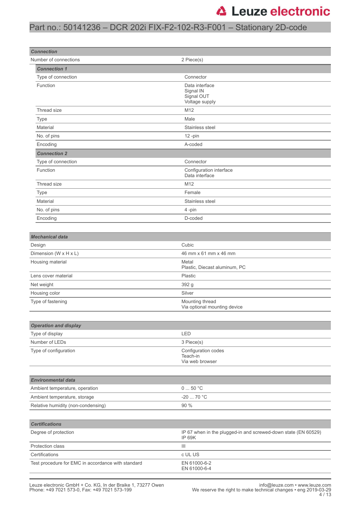### Part no.: 50141236 – DCR 202i FIX-F2-102-R3-F001 – Stationary 2D-code

| <b>Connection</b>                                  |                                                                                 |  |  |
|----------------------------------------------------|---------------------------------------------------------------------------------|--|--|
| Number of connections                              | 2 Piece(s)                                                                      |  |  |
| <b>Connection 1</b>                                | Connector                                                                       |  |  |
| Type of connection<br>Function                     |                                                                                 |  |  |
|                                                    | Data interface<br>Signal IN<br>Signal OUT<br>Voltage supply                     |  |  |
| Thread size                                        | M12                                                                             |  |  |
| Type                                               | Male                                                                            |  |  |
| Material                                           | Stainless steel                                                                 |  |  |
| No. of pins                                        | 12-pin                                                                          |  |  |
| Encoding                                           | A-coded                                                                         |  |  |
| <b>Connection 2</b>                                |                                                                                 |  |  |
| Type of connection                                 | Connector                                                                       |  |  |
| Function                                           | Configuration interface<br>Data interface                                       |  |  |
| Thread size                                        | M12                                                                             |  |  |
| <b>Type</b>                                        | Female                                                                          |  |  |
| Material                                           | Stainless steel                                                                 |  |  |
| No. of pins                                        | 4-pin                                                                           |  |  |
| Encoding                                           | D-coded                                                                         |  |  |
|                                                    |                                                                                 |  |  |
| <b>Mechanical data</b>                             |                                                                                 |  |  |
| Design                                             | Cubic                                                                           |  |  |
| Dimension (W x H x L)                              | 46 mm x 61 mm x 46 mm                                                           |  |  |
| Housing material                                   | Metal<br>Plastic, Diecast aluminum, PC                                          |  |  |
| Lens cover material                                | Plastic                                                                         |  |  |
| Net weight                                         | 392 g                                                                           |  |  |
| Housing color                                      | Silver                                                                          |  |  |
| Type of fastening                                  | Mounting thread<br>Via optional mounting device                                 |  |  |
| <b>Operation and display</b>                       |                                                                                 |  |  |
| Type of display                                    | LED                                                                             |  |  |
| Number of LEDs                                     | 3 Piece(s)                                                                      |  |  |
| Type of configuration                              | Configuration codes<br>Teach-in<br>Via web browser                              |  |  |
| <b>Environmental data</b>                          |                                                                                 |  |  |
| Ambient temperature, operation                     | 050 °C                                                                          |  |  |
| Ambient temperature, storage                       | -20  70 °C                                                                      |  |  |
| Relative humidity (non-condensing)                 | 90 %                                                                            |  |  |
|                                                    |                                                                                 |  |  |
| <b>Certifications</b>                              |                                                                                 |  |  |
| Degree of protection                               | IP 67 when in the plugged-in and screwed-down state (EN 60529)<br><b>IP 69K</b> |  |  |
| Protection class                                   | Ш                                                                               |  |  |
| Certifications                                     | c UL US                                                                         |  |  |
| Test procedure for EMC in accordance with standard | EN 61000-6-2<br>EN 61000-6-4                                                    |  |  |
|                                                    |                                                                                 |  |  |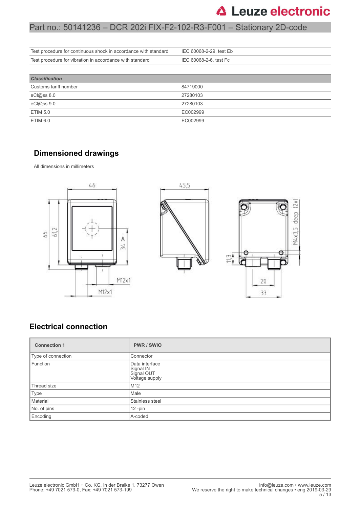### Part no.: 50141236 – DCR 202i FIX-F2-102-R3-F001 – Stationary 2D-code

| Test procedure for continuous shock in accordance with standard | IEC 60068-2-29, test Eb |
|-----------------------------------------------------------------|-------------------------|
| Test procedure for vibration in accordance with standard        | IEC 60068-2-6, test Fc  |
|                                                                 |                         |
| <b>Classification</b>                                           |                         |
| Customs tariff number                                           | 84719000                |
| eCl@ss 8.0                                                      | 27280103                |
| eCl@ss 9.0                                                      | 27280103                |
| <b>ETIM 5.0</b>                                                 | EC002999                |
| <b>ETIM 6.0</b>                                                 | EC002999                |

#### **Dimensioned drawings**

All dimensions in millimeters



#### **Electrical connection**

| <b>Connection 1</b>         | PWR / SWIO                                                  |  |
|-----------------------------|-------------------------------------------------------------|--|
| Type of connection          | Connector                                                   |  |
| Function                    | Data interface<br>Signal IN<br>Signal OUT<br>Voltage supply |  |
| Thread size                 | M <sub>12</sub>                                             |  |
| Type                        | Male                                                        |  |
| Material<br>Stainless steel |                                                             |  |
| No. of pins                 | $12$ -pin                                                   |  |
| Encoding<br>A-coded         |                                                             |  |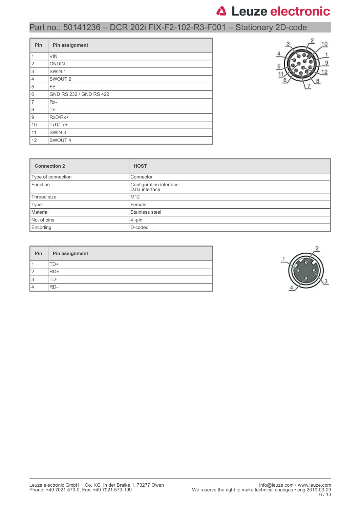## Part no.: 50141236 – DCR 202i FIX-F2-102-R3-F001 – Stationary 2D-code

| Pin                       | Pin assignment          |  |  |  |
|---------------------------|-------------------------|--|--|--|
| $\mathbf{1}$              | <b>VIN</b>              |  |  |  |
| $\overline{2}$            | <b>GNDIN</b>            |  |  |  |
| $\ensuremath{\mathsf{3}}$ | SWIN <sub>1</sub>       |  |  |  |
| $\overline{4}$            | SWOUT <sub>2</sub>      |  |  |  |
| 5                         | <b>FE</b>               |  |  |  |
| 6                         | GND RS 232 / GND RS 422 |  |  |  |
| $\overline{7}$            | Rx-                     |  |  |  |
| 8                         | $Tx -$                  |  |  |  |
| 9                         | RxD/Rx+                 |  |  |  |
| 10                        | $TxD/Tx+$               |  |  |  |
| 11                        | SWIN <sub>3</sub>       |  |  |  |
| 12                        | SWOUT 4                 |  |  |  |



| <b>Connection 2</b> | <b>HOST</b>                               |  |
|---------------------|-------------------------------------------|--|
| Type of connection  | Connector                                 |  |
| Function            | Configuration interface<br>Data interface |  |
| Thread size         | M <sub>12</sub>                           |  |
| Type                | Female                                    |  |
| Material            | Stainless steel                           |  |
| No. of pins         | $4$ -pin                                  |  |
| Encoding            | D-coded                                   |  |

| Pin | Pin assignment |
|-----|----------------|
|     | $+(-$          |
|     | RD+            |
|     | $+1$ )-        |
|     | RD-            |

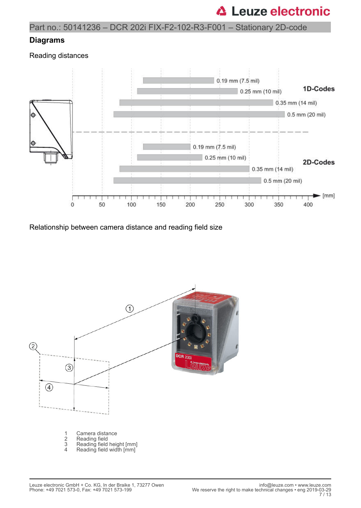### Part no.: 50141236 – DCR 202i FIX-F2-102-R3-F001 – Stationary 2D-code

#### **Diagrams**

Reading distances



Relationship between camera distance and reading field size

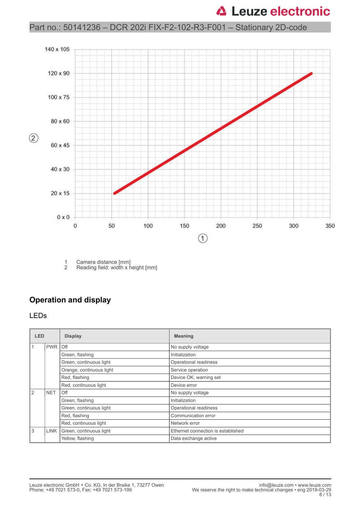### Part no.: 50141236 – DCR 202i FIX-F2-102-R3-F001 – Stationary 2D-code



1 Camera distance [mm]<br>2 Reading field: width x h Reading field: width x height [mm]

#### **Operation and display**

#### LEDs

| <b>LED</b>   |            | <b>Display</b>               | <b>Meaning</b>                     |  |
|--------------|------------|------------------------------|------------------------------------|--|
| 1            | PWR Off    |                              | No supply voltage                  |  |
|              |            | Green, flashing              | Initialization                     |  |
|              |            | Green, continuous light      | Operational readiness              |  |
|              |            | Orange, continuous light     | Service operation                  |  |
|              |            | Red, flashing                | Device OK, warning set             |  |
|              |            | Red, continuous light        | Device error                       |  |
| <sup>2</sup> | <b>NET</b> | Off                          | No supply voltage                  |  |
|              |            | Green, flashing              | Initialization                     |  |
|              |            | Green, continuous light      | Operational readiness              |  |
|              |            | Red, flashing                | Communication error                |  |
|              |            | Red, continuous light        | Network error                      |  |
| 3            |            | LINK Green, continuous light | Ethernet connection is established |  |
|              |            | Yellow, flashing             | Data exchange active               |  |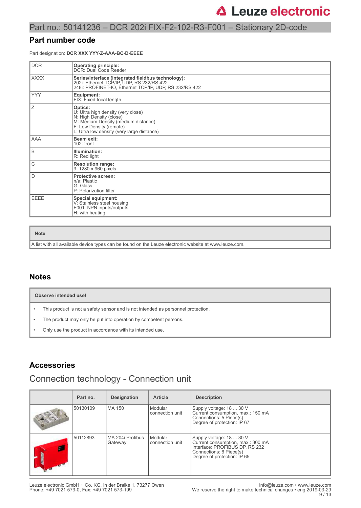#### Part no.: 50141236 – DCR 202i FIX-F2-102-R3-F001 – Stationary 2D-code

#### **Part number code**

Part designation: **DCR XXX YYY-Z-AAA-BC-D-EEEE**

| <b>DCR</b>  | <b>Operating principle:</b>                                                                                                                                                              |
|-------------|------------------------------------------------------------------------------------------------------------------------------------------------------------------------------------------|
|             | DCR: Dual Code Reader                                                                                                                                                                    |
| <b>XXXX</b> | Series/interface (integrated fieldbus technology):<br>202i: Ethernet TCP/IP, UDP, RS 232/RS 422<br>248i: PROFINET-IO, Ethernet TCP/IP, UDP, RS 232/RS 422                                |
| <b>YYY</b>  | Equipment:<br>FIX: Fixed focal length                                                                                                                                                    |
| Ζ           | Optics:<br>U: Ultra high density (very close)<br>N: High Density (close)<br>M: Medium Density (medium distance)<br>F: Low Density (remote)<br>L: Ultra low density (very large distance) |
| <b>AAA</b>  | Beam exit:<br>$102:$ front                                                                                                                                                               |
| B           | Illumination:<br>R: Red light                                                                                                                                                            |
| C           | <b>Resolution range:</b><br>3: 1280 x 960 pixels                                                                                                                                         |
| D           | <b>Protective screen:</b><br>n/a: Plastic<br>G: Glass<br>P: Polarization filter                                                                                                          |
| <b>EEEE</b> | <b>Special equipment:</b><br>V: Stainless steel housing<br>F001: NPN inputs/outputs<br>H: with heating                                                                                   |

**Note**

A list with all available device types can be found on the Leuze electronic website at www.leuze.com.

#### **Notes**

|           | Observe intended use!                                                            |  |  |
|-----------|----------------------------------------------------------------------------------|--|--|
| $\bullet$ | This product is not a safety sensor and is not intended as personnel protection. |  |  |
|           | The product may only be put into operation by competent persons.                 |  |  |

• Only use the product in accordance with its intended use.

#### **Accessories**

## Connection technology - Connection unit

| Part no. | <b>Designation</b>          | <b>Article</b>             | <b>Description</b>                                                                                                                                        |
|----------|-----------------------------|----------------------------|-----------------------------------------------------------------------------------------------------------------------------------------------------------|
| 50130109 | <b>MA 150</b>               | Modular<br>connection unit | Supply voltage: 18  30 V<br>Current consumption, max.: 150 mA<br>Connections: 5 Piece(s)<br>Degree of protection: IP 67                                   |
| 50112893 | MA 204i Profibus<br>Gateway | Modular<br>connection unit | Supply voltage: 18  30 V<br>Current consumption, max.: 300 mA<br>Interface: PROFIBUS DP, RS 232<br>Connections: 6 Piece(s)<br>Degree of protection: IP 65 |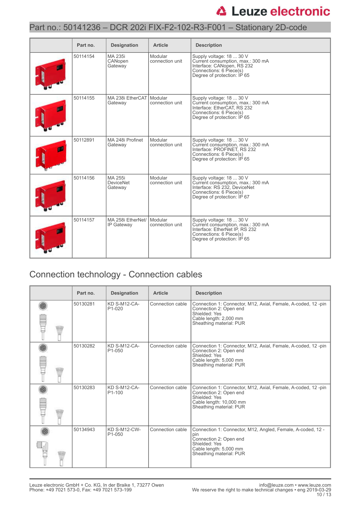### Part no.: 50141236 – DCR 202i FIX-F2-102-R3-F001 – Stationary 2D-code

| Part no. | <b>Designation</b>                     | <b>Article</b>             | <b>Description</b>                                                                                                                                        |
|----------|----------------------------------------|----------------------------|-----------------------------------------------------------------------------------------------------------------------------------------------------------|
| 50114154 | MA 235i<br>CANopen<br>Gateway          | Modular<br>connection unit | Supply voltage: 18  30 V<br>Current consumption, max.: 300 mA<br>Interface: CANopen, RS 232<br>Connections: 6 Piece(s)<br>Degree of protection: IP 65     |
| 50114155 | MA 238i EtherCAT Modular<br>Gateway    | connection unit            | Supply voltage: 18  30 V<br>Current consumption, max.: 300 mA<br>Interface: EtherCAT, RS 232<br>Connections: 6 Piece(s)<br>Degree of protection: IP 65    |
| 50112891 | MA 248i Profinet<br>Gateway            | Modular<br>connection unit | Supply voltage: 18  30 V<br>Current consumption, max.: 300 mA<br>Interface: PROFINET, RS 232<br>Connections: 6 Piece(s)<br>Degree of protection: IP 65    |
| 50114156 | MA 255i<br><b>DeviceNet</b><br>Gateway | Modular<br>connection unit | Supply voltage: 18  30 V<br>Current consumption, max.: 300 mA<br>Interface: RS 232, DeviceNet<br>Connections: 6 Piece(s)<br>Degree of protection: IP 67   |
| 50114157 | MA 258i EtherNet/<br>IP Gateway        | Modular<br>connection unit | Supply voltage: 18  30 V<br>Current consumption, max.: 300 mA<br>Interface: EtherNet IP, RS 232<br>Connections: 6 Piece(s)<br>Degree of protection: IP 65 |

## Connection technology - Connection cables

|  | Part no. | <b>Designation</b>                         | <b>Article</b>   | <b>Description</b>                                                                                                                                                 |
|--|----------|--------------------------------------------|------------------|--------------------------------------------------------------------------------------------------------------------------------------------------------------------|
|  | 50130281 | KD S-M12-CA-<br>P <sub>1</sub> -020        | Connection cable | Connection 1: Connector, M12, Axial, Female, A-coded, 12-pin<br>Connection 2: Open end<br>Shielded: Yes<br>Cable length: 2,000 mm<br>Sheathing material: PUR       |
|  | 50130282 | <b>KD S-M12-CA-</b><br>P <sub>1</sub> -050 | Connection cable | Connection 1: Connector, M12, Axial, Female, A-coded, 12-pin<br>Connection 2: Open end<br>Shielded: Yes<br>Cable length: 5,000 mm<br>Sheathing material: PUR       |
|  | 50130283 | <b>KD S-M12-CA-</b><br>P <sub>1</sub> -100 | Connection cable | Connection 1: Connector, M12, Axial, Female, A-coded, 12-pin<br>Connection 2: Open end<br>Shielded: Yes<br>Cable length: 10,000 mm<br>Sheathing material: PUR      |
|  | 50134943 | <b>KD S-M12-CW-</b><br>P <sub>1</sub> -050 | Connection cable | Connection 1: Connector, M12, Angled, Female, A-coded, 12 -<br>pin<br>Connection 2: Open end<br>Shielded: Yes<br>Cable length: 5,000 mm<br>Sheathing material: PUR |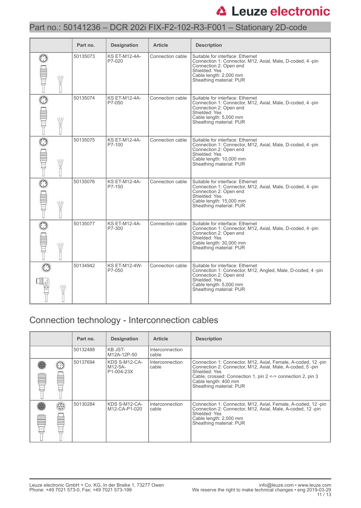### Part no.: 50141236 – DCR 202i FIX-F2-102-R3-F001 – Stationary 2D-code

|   | Part no. | <b>Designation</b>             | <b>Article</b>   | <b>Description</b>                                                                                                                                                                              |
|---|----------|--------------------------------|------------------|-------------------------------------------------------------------------------------------------------------------------------------------------------------------------------------------------|
| W | 50135073 | <b>KS ET-M12-4A-</b><br>P7-020 | Connection cable | Suitable for interface: Ethernet<br>Connection 1: Connector, M12, Axial, Male, D-coded, 4 -pin<br>Connection 2: Open end<br>Shielded: Yes<br>Cable length: 2,000 mm<br>Sheathing material: PUR  |
|   | 50135074 | <b>KS ET-M12-4A-</b><br>P7-050 | Connection cable | Suitable for interface: Ethernet<br>Connection 1: Connector, M12, Axial, Male, D-coded, 4-pin<br>Connection 2: Open end<br>Shielded: Yes<br>Cable length: 5,000 mm<br>Sheathing material: PUR   |
| W | 50135075 | <b>KS ET-M12-4A-</b><br>P7-100 | Connection cable | Suitable for interface: Ethernet<br>Connection 1: Connector, M12, Axial, Male, D-coded, 4 -pin<br>Connection 2: Open end<br>Shielded: Yes<br>Cable length: 10,000 mm<br>Sheathing material: PUR |
| W | 50135076 | <b>KS ET-M12-4A-</b><br>P7-150 | Connection cable | Suitable for interface: Ethernet<br>Connection 1: Connector, M12, Axial, Male, D-coded, 4-pin<br>Connection 2: Open end<br>Shielded: Yes<br>Cable length: 15,000 mm<br>Sheathing material: PUR  |
| W | 50135077 | <b>KS ET-M12-4A-</b><br>P7-300 | Connection cable | Suitable for interface: Ethernet<br>Connection 1: Connector, M12, Axial, Male, D-coded, 4 -pin<br>Connection 2: Open end<br>Shielded: Yes<br>Cable length: 30,000 mm<br>Sheathing material: PUR |
|   | 50134942 | <b>KS ET-M12-4W-</b><br>P7-050 | Connection cable | Suitable for interface: Ethernet<br>Connection 1: Connector, M12, Angled, Male, D-coded, 4 -pin<br>Connection 2: Open end<br>Shielded: Yes<br>Cable length: 5,000 mm<br>Sheathing material: PUR |

## Connection technology - Interconnection cables

|            | Part no. | <b>Designation</b>                     | <b>Article</b>           | <b>Description</b>                                                                                                                                                                                                                                               |
|------------|----------|----------------------------------------|--------------------------|------------------------------------------------------------------------------------------------------------------------------------------------------------------------------------------------------------------------------------------------------------------|
|            | 50132488 | KB JST-<br>M12A-12P-50                 | Interconnection<br>cable |                                                                                                                                                                                                                                                                  |
|            | 50137694 | KDS S-M12-CA-<br>M12-5A-<br>P1-004-23X | Interconnection<br>cable | Connection 1: Connector, M12, Axial, Female, A-coded, 12-pin<br>Connection 2: Connector, M12, Axial, Male, A-coded, 5-pin<br>Shielded: Yes<br>Cable, crossed: Connection 1, pin $2 \le$ > connection 2, pin 3<br>Cable length: 400 mm<br>Sheathing material: PUR |
| O)<br>1.11 | 50130284 | KDS S-M12-CA-<br>M12-CA-P1-020         | Interconnection<br>cable | Connection 1: Connector, M12, Axial, Female, A-coded, 12-pin<br>Connection 2: Connector, M12, Axial, Male, A-coded, 12-pin<br>Shielded: Yes<br>Cable length: 2,000 mm<br>Sheathing material: PUR                                                                 |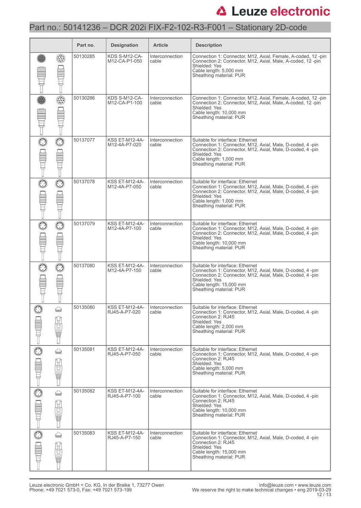### Part no.: 50141236 – DCR 202i FIX-F2-102-R3-F001 – Stationary 2D-code

|               |                   | Part no. | <b>Designation</b>                     | <b>Article</b>           | <b>Description</b>                                                                                                                                                                                                                 |
|---------------|-------------------|----------|----------------------------------------|--------------------------|------------------------------------------------------------------------------------------------------------------------------------------------------------------------------------------------------------------------------------|
|               |                   | 50130285 | KDS S-M12-CA-<br>M12-CA-P1-050         | Interconnection<br>cable | Connection 1: Connector, M12, Axial, Female, A-coded, 12-pin<br>Connection 2: Connector, M12, Axial, Male, A-coded, 12-pin<br>Shielded: Yes<br>Cable length: 5,000 mm<br>Sheathing material: PUR                                   |
|               |                   | 50130286 | KDS S-M12-CA-<br>M12-CA-P1-100         | Interconnection<br>cable | Connection 1: Connector, M12, Axial, Female, A-coded, 12-pin<br>Connection 2: Connector, M12, Axial, Male, A-coded, 12 -pin<br>Shielded: Yes<br>Cable length: 10,000 mm<br>Sheathing material: PUR                                 |
| $\odot$       | $_{\odot}$        | 50137077 | <b>KSS ET-M12-4A-</b><br>M12-4A-P7-020 | Interconnection<br>cable | Suitable for interface: Ethernet<br>Connection 1: Connector, M12, Axial, Male, D-coded, 4 -pin<br>Connection 2: Connector, M12, Axial, Male, D-coded, 4 -pin<br>Shielded: Yes<br>Cable length: 1,000 mm<br>Sheathing material: PUR |
|               | $\odot$           | 50137078 | KSS ET-M12-4A-<br>M12-4A-P7-050        | Interconnection<br>cable | Suitable for interface: Ethernet<br>Connection 1: Connector, M12, Axial, Male, D-coded, 4 -pin<br>Connection 2: Connector, M12, Axial, Male, D-coded, 4-pin<br>Shielded: Yes<br>Cable length: 1,000 mm<br>Sheathing material: PUR  |
| O             | $_{\odot}$        | 50137079 | <b>KSS ET-M12-4A-</b><br>M12-4A-P7-100 | Interconnection<br>cable | Suitable for interface: Ethernet<br>Connection 1: Connector, M12, Axial, Male, D-coded, 4 -pin<br>Connection 2: Connector, M12, Axial, Male, D-coded, 4-pin<br>Shielded: Yes<br>Cable length: 10,000 mm<br>Sheathing material: PUR |
|               | $\odot$           | 50137080 | <b>KSS ET-M12-4A-</b><br>M12-4A-P7-150 | Interconnection<br>cable | Suitable for interface: Ethernet<br>Connection 1: Connector, M12, Axial, Male, D-coded, 4-pin<br>Connection 2: Connector, M12, Axial, Male, D-coded, 4-pin<br>Shielded: Yes<br>Cable length: 15,000 mm<br>Sheathing material: PUR  |
| $\frac{1}{2}$ | ⇔<br>흡<br>Ū       | 50135080 | KSS ET-M12-4A-<br>RJ45-A-P7-020        | Interconnection<br>cable | Suitable for interface: Ethernet<br>Connection 1: Connector, M12, Axial, Male, D-coded, 4 -pin<br>Connection 2: RJ45<br>Shielded: Yes<br>Cable length: 2,000 mm<br>Sheathing material: PUR                                         |
|               | ⇔<br>コロロービー<br>電話 | 50135081 | <b>KSS ET-M12-4A-</b><br>RJ45-A-P7-050 | Interconnection<br>cable | Suitable for interface: Ethernet<br>Connection 1: Connector, M12, Axial, Male, D-coded, 4-pin<br>Connection 2: RJ45<br>Shielded: Yes<br>Cable length: 5,000 mm<br>Sheathing material: PUR                                          |
| $\odot$       | ⇔<br>H<br>Dom     | 50135082 | KSS ET-M12-4A-<br>RJ45-A-P7-100        | Interconnection<br>cable | Suitable for interface: Ethernet<br>Connection 1: Connector, M12, Axial, Male, D-coded, 4-pin<br>Connection 2: RJ45<br>Shielded: Yes<br>Cable length: 10,000 mm<br>Sheathing material: PUR                                         |
|               | ⇔<br>H<br>Ū       | 50135083 | KSS ET-M12-4A-<br>RJ45-A-P7-150        | Interconnection<br>cable | Suitable for interface: Ethernet<br>Connection 1: Connector, M12, Axial, Male, D-coded, 4-pin<br>Connection 2: RJ45<br>Shielded: Yes<br>Cable length: 15,000 mm<br>Sheathing material: PUR                                         |